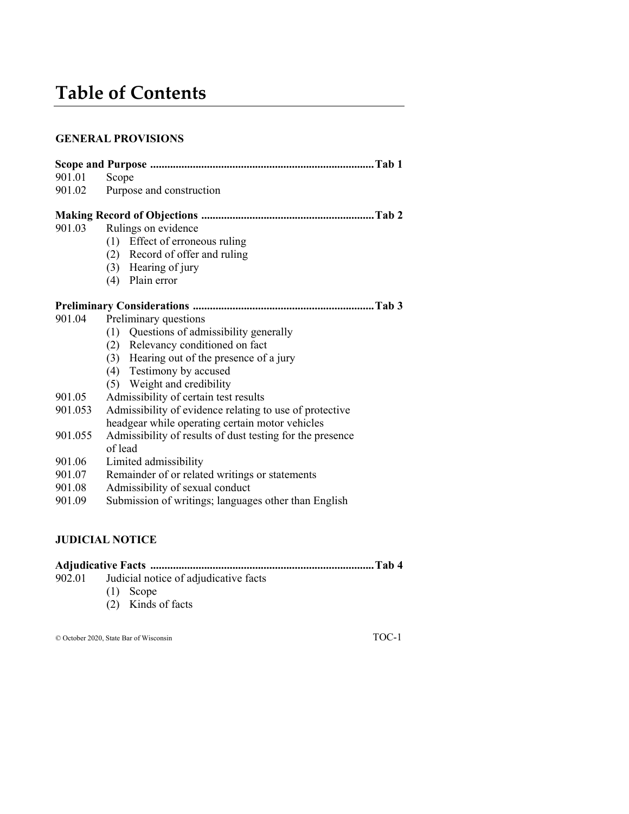# **Table of Contents**

## **GENERAL PROVISIONS**

| 901.01  | Scope                                                     |
|---------|-----------------------------------------------------------|
| 901.02  | Purpose and construction                                  |
|         |                                                           |
| 901.03  | Rulings on evidence                                       |
|         | (1) Effect of erroneous ruling                            |
|         | (2) Record of offer and ruling                            |
|         | $(3)$ Hearing of jury                                     |
|         | (4) Plain error                                           |
|         |                                                           |
|         |                                                           |
| 901.04  | Preliminary questions                                     |
|         | (1) Questions of admissibility generally                  |
|         | (2) Relevancy conditioned on fact                         |
|         | (3) Hearing out of the presence of a jury                 |
|         | (4) Testimony by accused                                  |
|         | (5) Weight and credibility                                |
| 901.05  | Admissibility of certain test results                     |
| 901.053 | Admissibility of evidence relating to use of protective   |
|         | headgear while operating certain motor vehicles           |
| 901.055 | Admissibility of results of dust testing for the presence |
|         | of lead                                                   |
| 901.06  | Limited admissibility                                     |
| 901.07  | Remainder of or related writings or statements            |
| 901.08  | Admissibility of sexual conduct                           |
| 901.09  | Submission of writings; languages other than English      |
|         |                                                           |
|         |                                                           |

# **JUDICIAL NOTICE**

- 902.01 Judicial notice of adjudicative facts
	- (1) Scope
	- (2) Kinds of facts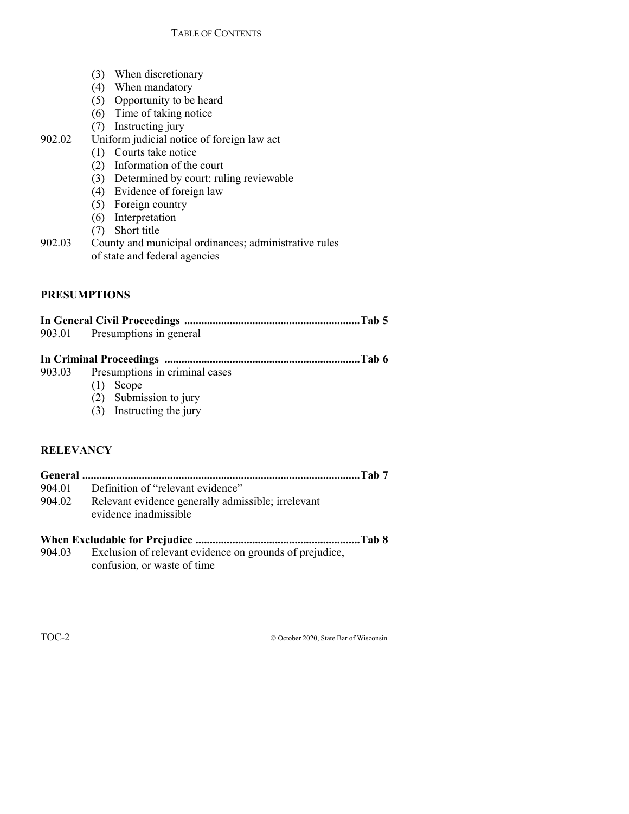- (3) When discretionary
- $(4)$  When mandatory
- (5) Opportunity to be heard
- (6) Time of taking notice
- (7) Instructing jury
- 902.02 Uniform judicial notice of foreign law act
	- (1) Courts take notice
	- (2) Information of the court
	- (3) Determined by court; ruling reviewable
	- (4) Evidence of foreign law
	- (5) Foreign country
	- (6) Interpretation
	- (7) Short title
- 902.03 County and municipal ordinances; administrative rules of state and federal agencies

#### **PRESUMPTIONS**

| 903.01 Presumptions in general        |  |
|---------------------------------------|--|
|                                       |  |
|                                       |  |
| 903.03 Presumptions in criminal cases |  |
| $(1)$ $S20000$                        |  |

- (1) Scope
- (2) Submission to jury
- (3) Instructing the jury

#### **RELEVANCY**

**General .................................................................................................. Tab 7**  904.01 Definition of "relevant evidence" 904.02 Relevant evidence generally admissible; irrelevant evidence inadmissible

#### **When Excludable for Prejudice .......................................................... Tab 8**

904.03 Exclusion of relevant evidence on grounds of prejudice, confusion, or waste of time

TOC-2 © October 2020, State Bar of Wisconsin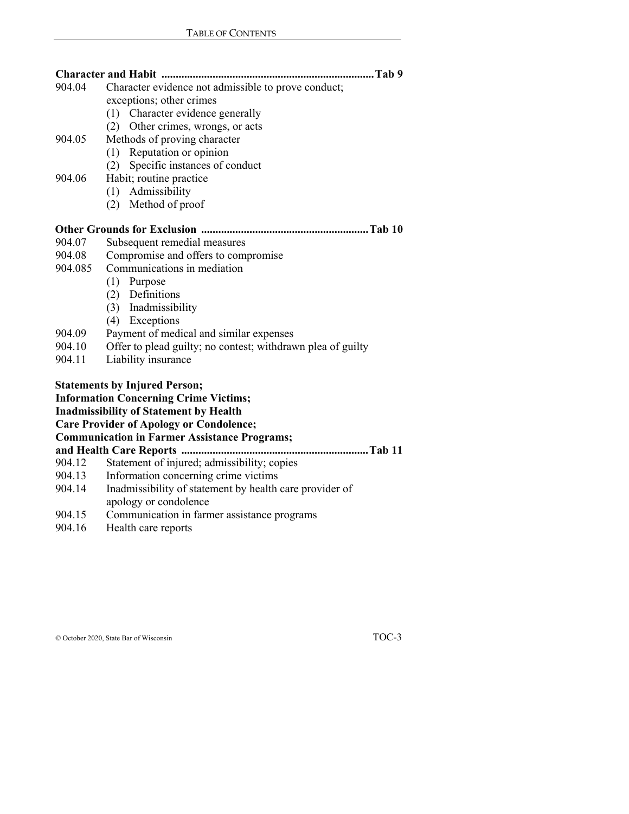|         | Tab 9                                                       |
|---------|-------------------------------------------------------------|
| 904.04  | Character evidence not admissible to prove conduct;         |
|         | exceptions; other crimes                                    |
|         | (1) Character evidence generally                            |
|         | (2) Other crimes, wrongs, or acts                           |
| 904.05  | Methods of proving character                                |
|         | (1) Reputation or opinion                                   |
|         | Specific instances of conduct<br>(2)                        |
| 904.06  | Habit; routine practice                                     |
|         | Admissibility<br>(1)                                        |
|         | (2) Method of proof                                         |
|         |                                                             |
| 904.07  | Subsequent remedial measures                                |
| 904.08  | Compromise and offers to compromise                         |
| 904.085 | Communications in mediation                                 |
|         | $(1)$ Purpose                                               |
|         | (2) Definitions                                             |
|         | (3) Inadmissibility                                         |
|         | (4) Exceptions                                              |
| 904.09  | Payment of medical and similar expenses                     |
| 904.10  | Offer to plead guilty; no contest; withdrawn plea of guilty |
| 904.11  | Liability insurance                                         |
|         | <b>Statements by Injured Person;</b>                        |
|         | <b>Information Concerning Crime Victims;</b>                |
|         | <b>Inadmissibility of Statement by Health</b>               |
|         | <b>Care Provider of Apology or Condolence;</b>              |
|         | <b>Communication in Farmer Assistance Programs;</b>         |
|         | and Health Care Reports<br>Tab 11                           |
| 904.12  | Statement of injured; admissibility; copies                 |
| 904.13  | Information concerning crime victims                        |
| 904.14  | Inadmissibility of statement by health care provider of     |
|         | apology or condolence                                       |
| 904.15  | Communication in farmer assistance programs                 |
| 904.16  | Health care reports                                         |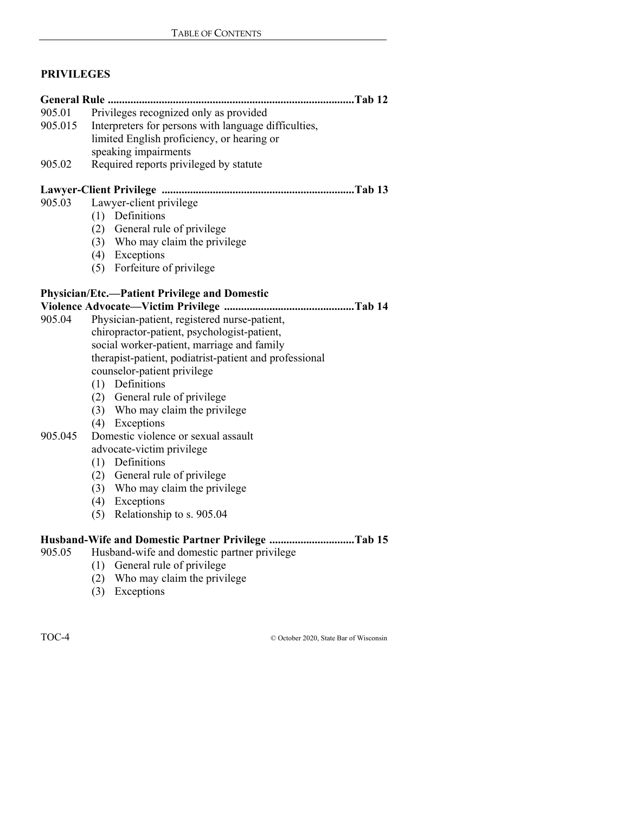## **PRIVILEGES**

|         | General Rule<br>Tab 12                                 |
|---------|--------------------------------------------------------|
| 905.01  | Privileges recognized only as provided                 |
| 905.015 | Interpreters for persons with language difficulties,   |
|         | limited English proficiency, or hearing or             |
|         | speaking impairments                                   |
| 905.02  | Required reports privileged by statute                 |
|         |                                                        |
| 905.03  | Lawyer-client privilege                                |
|         | (1) Definitions                                        |
|         | (2) General rule of privilege                          |
|         | (3) Who may claim the privilege                        |
|         | (4) Exceptions                                         |
|         | (5) Forfeiture of privilege                            |
|         | <b>Physician/Etc.—Patient Privilege and Domestic</b>   |
|         |                                                        |
| 905.04  | Physician-patient, registered nurse-patient,           |
|         | chiropractor-patient, psychologist-patient,            |
|         | social worker-patient, marriage and family             |
|         | therapist-patient, podiatrist-patient and professional |
|         | counselor-patient privilege                            |
|         | (1) Definitions                                        |
|         | (2) General rule of privilege                          |
|         | (3) Who may claim the privilege                        |
|         | (4) Exceptions                                         |
| 905.045 | Domestic violence or sexual assault                    |
|         | advocate-victim privilege                              |
|         | (1) Definitions                                        |
|         | (2) General rule of privilege                          |
|         | (3) Who may claim the privilege                        |
|         | (4) Exceptions                                         |
|         | (5) Relationship to s. 905.04                          |
|         | Husband-Wife and Domestic Partner Privilege Tab 15     |
| 905.05  | Husband-wife and domestic partner privilege            |
|         | (1) General rule of privilege                          |
|         | (2) Who may claim the privilege                        |
|         | (3) Exceptions                                         |

TOC-4 © October 2020, State Bar of Wisconsin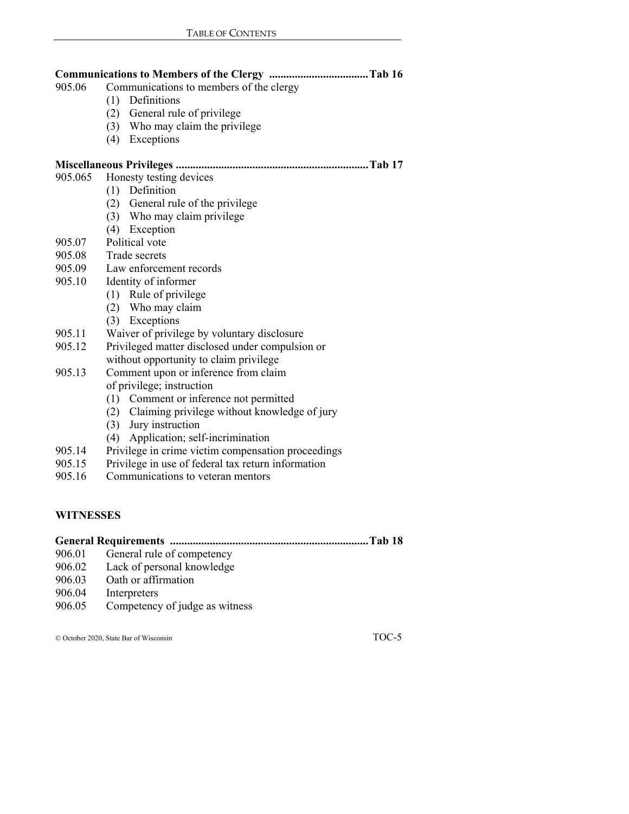| 905.06  | Communications to members of the clergy            |
|---------|----------------------------------------------------|
|         | Definitions<br>(1)                                 |
|         | (2) General rule of privilege                      |
|         | (3) Who may claim the privilege                    |
|         | (4)<br>Exceptions                                  |
|         |                                                    |
| 905.065 | Honesty testing devices                            |
|         | (1) Definition                                     |
|         | (2) General rule of the privilege                  |
|         | (3) Who may claim privilege                        |
|         | (4) Exception                                      |
| 905.07  | Political vote                                     |
| 905.08  | Trade secrets                                      |
| 905.09  | Law enforcement records                            |
| 905.10  | Identity of informer                               |
|         | (1) Rule of privilege                              |
|         | (2) Who may claim                                  |
|         | (3) Exceptions                                     |
| 905.11  | Waiver of privilege by voluntary disclosure        |
| 905.12  | Privileged matter disclosed under compulsion or    |
|         | without opportunity to claim privilege             |
| 905.13  | Comment upon or inference from claim               |
|         | of privilege; instruction                          |
|         | (1) Comment or inference not permitted             |
|         | (2) Claiming privilege without knowledge of jury   |
|         | Jury instruction<br>(3)                            |
|         | Application; self-incrimination<br>(4)             |
| 905.14  | Privilege in crime victim compensation proceedings |
| 905.15  | Privilege in use of federal tax return information |
|         |                                                    |

905.16 Communications to veteran mentors

# **WITNESSES**

|        | Tab 18                         |
|--------|--------------------------------|
| 906.01 | General rule of competency     |
| 906.02 | Lack of personal knowledge     |
| 906.03 | Oath or affirmation            |
| 906.04 | Interpreters                   |
| 906.05 | Competency of judge as witness |
|        |                                |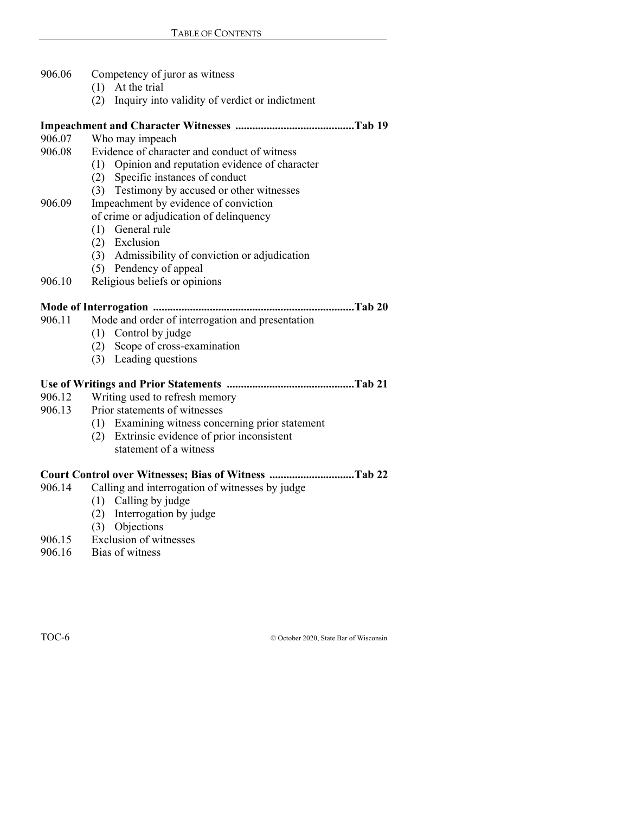| 906.06 | Competency of juror as witness                        |
|--------|-------------------------------------------------------|
|        | $(1)$ At the trial                                    |
|        | Inquiry into validity of verdict or indictment<br>(2) |
|        |                                                       |
| 906.07 | Who may impeach                                       |
| 906.08 | Evidence of character and conduct of witness          |
|        | (1) Opinion and reputation evidence of character      |
|        | (2) Specific instances of conduct                     |
|        | (3) Testimony by accused or other witnesses           |
| 906.09 | Impeachment by evidence of conviction                 |
|        | of crime or adjudication of delinquency               |
|        | General rule<br>(1)                                   |
|        | (2) Exclusion                                         |
|        | (3) Admissibility of conviction or adjudication       |
|        | (5) Pendency of appeal                                |
| 906.10 | Religious beliefs or opinions                         |
|        |                                                       |
| 906.11 | Mode and order of interrogation and presentation      |
|        | (1) Control by judge                                  |
|        | (2) Scope of cross-examination                        |
|        | (3) Leading questions                                 |
|        |                                                       |
| 906.12 | Writing used to refresh memory                        |
| 906.13 | Prior statements of witnesses                         |
|        | (1) Examining witness concerning prior statement      |
|        | (2) Extrinsic evidence of prior inconsistent          |
|        | statement of a witness                                |
|        | Court Control over Witnesses; Bias of Witness Tab 22  |
| 906.14 | Calling and interrogation of witnesses by judge       |
|        | $(1)$ $C_2$ lling by index                            |

- (1) Calling by judge
- (2) Interrogation by judge
- (3) Objections
- 906.15 Exclusion of witnesses
- 906.16 Bias of witness

TOC-6 © October 2020, State Bar of Wisconsin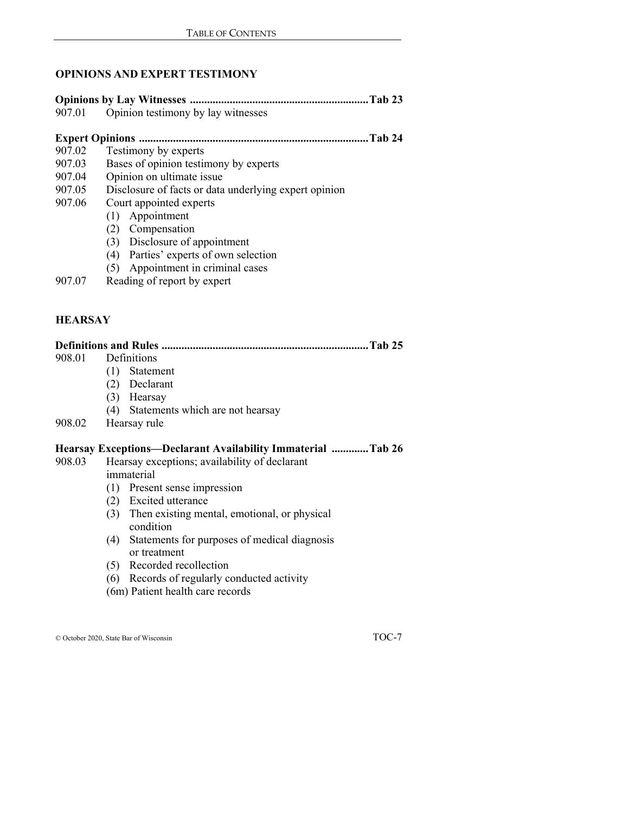#### **OPINIONS AND EXPERT TESTIMONY**

| 907.01            | Opinion testimony by lay witnesses                    |
|-------------------|-------------------------------------------------------|
|                   |                                                       |
|                   | <b>Tab 24</b>                                         |
| 907.02            | Testimony by experts                                  |
| 907.03            | Bases of opinion testimony by experts                 |
| 907.04            | Opinion on ultimate issue                             |
| 907.05            | Disclosure of facts or data underlying expert opinion |
| 907.06            | Court appointed experts                               |
|                   | Appointment<br>(1)                                    |
|                   | Compensation<br>(2)                                   |
|                   | (3) Disclosure of appointment                         |
|                   | Parties' experts of own selection<br>(4)              |
|                   | Appointment in criminal cases<br>(5)                  |
| 907.07            | Reading of report by expert                           |
|                   |                                                       |
|                   |                                                       |
| <b>IID ADO AV</b> |                                                       |

#### **HEARSAY**

|        | . Tab 25                                                            |
|--------|---------------------------------------------------------------------|
| 908.01 | Definitions                                                         |
|        | (1)<br>Statement                                                    |
|        | (2) Declarant                                                       |
|        | (3) Hearsay                                                         |
|        | (4) Statements which are not hearsay                                |
| 908.02 | Hearsay rule                                                        |
|        | Hearsay Exceptions—Declarant Availability Immaterial Tab 26         |
| 908.03 | Hearsay exceptions; availability of declarant                       |
|        | immaterial                                                          |
|        | (1) Present sense impression                                        |
|        | (2) Excited utterance                                               |
|        | (3) Then existing mental, emotional, or physical<br>condition       |
|        | Statements for purposes of medical diagnosis<br>(4)<br>or treatment |
|        | (5) Recorded recollection                                           |
|        | (6) Records of regularly conducted activity                         |
|        | (6m) Patient health care records                                    |
|        |                                                                     |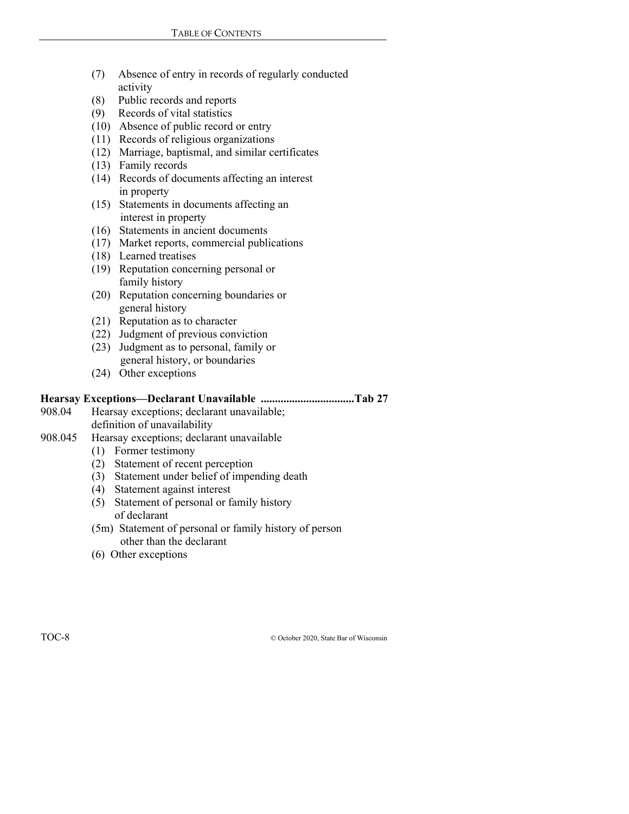- (7) Absence of entry in records of regularly conducted activity
- (8) Public records and reports
- (9) Records of vital statistics
- (10) Absence of public record or entry
- (11) Records of religious organizations
- (12) Marriage, baptismal, and similar certificates
- (13) Family records
- (14) Records of documents affecting an interest in property
- (15) Statements in documents affecting an interest in property
- (16) Statements in ancient documents
- (17) Market reports, commercial publications
- (18) Learned treatises
- (19) Reputation concerning personal or family history
- (20) Reputation concerning boundaries or general history
- (21) Reputation as to character
- (22) Judgment of previous conviction
- (23) Judgment as to personal, family or general history, or boundaries
- (24) Other exceptions

#### **Hearsay Exceptions—Declarant Unavailable ................................. Tab 27**

- 908.04 Hearsay exceptions; declarant unavailable; definition of unavailability
- 908.045 Hearsay exceptions; declarant unavailable
	- (1) Former testimony
	- (2) Statement of recent perception
	- (3) Statement under belief of impending death
	- (4) Statement against interest
	- (5) Statement of personal or family history of declarant
	- (5m) Statement of personal or family history of person other than the declarant
	- (6) Other exceptions

TOC-8 © October 2020, State Bar of Wisconsin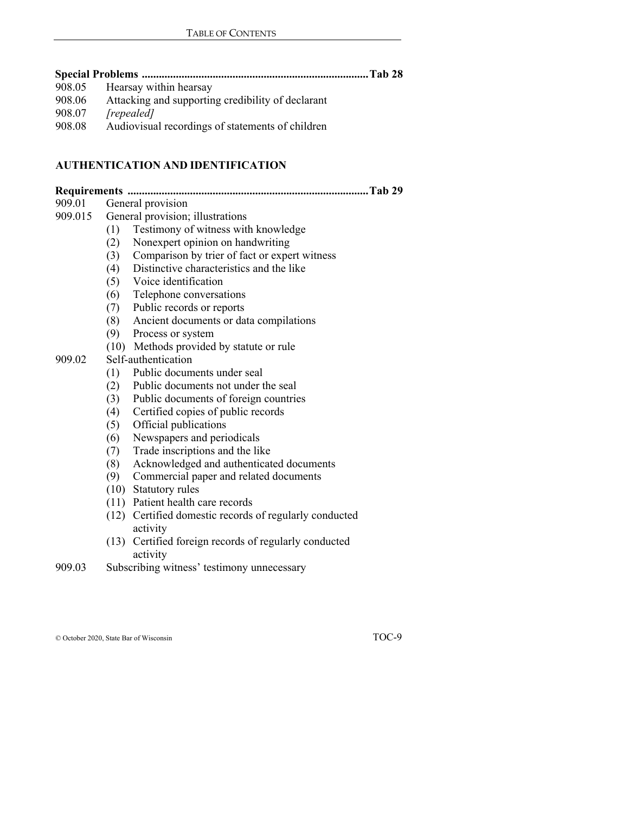| 908.05 Hearsay within hearsay                            |  |
|----------------------------------------------------------|--|
| 008.06 Attacking and supporting credibility of declarant |  |

- 908.06 Attacking and supporting credibility of declarant
- 908.07 *[repealed]*
- 908.08 Audiovisual recordings of statements of children

# **AUTHENTICATION AND IDENTIFICATION**

| 909.01  |     | General provision                                                  |
|---------|-----|--------------------------------------------------------------------|
| 909.015 |     | General provision; illustrations                                   |
|         | (1) | Testimony of witness with knowledge                                |
|         | (2) | Nonexpert opinion on handwriting                                   |
|         | (3) | Comparison by trier of fact or expert witness                      |
|         | (4) | Distinctive characteristics and the like                           |
|         | (5) | Voice identification                                               |
|         | (6) | Telephone conversations                                            |
|         | (7) | Public records or reports                                          |
|         | (8) | Ancient documents or data compilations                             |
|         | (9) | Process or system                                                  |
|         |     | (10) Methods provided by statute or rule                           |
| 909.02  |     | Self-authentication                                                |
|         | (1) | Public documents under seal                                        |
|         | (2) | Public documents not under the seal                                |
|         | (3) | Public documents of foreign countries                              |
|         | (4) | Certified copies of public records                                 |
|         | (5) | Official publications                                              |
|         | (6) | Newspapers and periodicals                                         |
|         | (7) | Trade inscriptions and the like                                    |
|         | (8) | Acknowledged and authenticated documents                           |
|         | (9) | Commercial paper and related documents                             |
|         |     | (10) Statutory rules                                               |
|         |     | (11) Patient health care records                                   |
|         |     | (12) Certified domestic records of regularly conducted<br>activity |
|         |     | (13) Certified foreign records of regularly conducted<br>activity  |
| 909.03  |     | Subscribing witness' testimony unnecessary                         |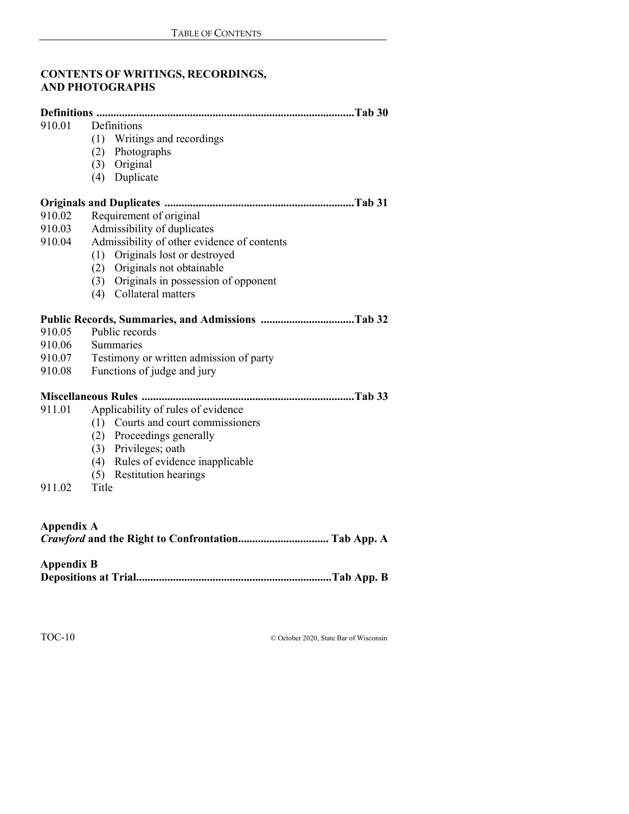## **CONTENTS OF WRITINGS, RECORDINGS, AND PHOTOGRAPHS**

| 910.01            | Definitions                                 |
|-------------------|---------------------------------------------|
|                   | (1) Writings and recordings                 |
|                   | (2) Photographs                             |
|                   | (3) Original                                |
|                   | (4) Duplicate                               |
|                   |                                             |
| 910.02            | Requirement of original                     |
| 910.03            | Admissibility of duplicates                 |
| 910.04            | Admissibility of other evidence of contents |
|                   | (1) Originals lost or destroyed             |
|                   | (2) Originals not obtainable                |
|                   | (3) Originals in possession of opponent     |
|                   | (4) Collateral matters                      |
|                   |                                             |
| 910.05            | Public records                              |
| 910.06            | Summaries                                   |
| 910.07            | Testimony or written admission of party     |
| 910.08            | Functions of judge and jury                 |
|                   |                                             |
| 911.01            | Applicability of rules of evidence          |
|                   | (1) Courts and court commissioners          |
|                   | (2) Proceedings generally                   |
|                   | (3) Privileges; oath                        |
|                   | (4) Rules of evidence inapplicable          |
|                   | (5) Restitution hearings                    |
| 911.02            | Title                                       |
|                   |                                             |
| <b>Appendix A</b> |                                             |
|                   |                                             |

## **Appendix B**

| _____ |  |
|-------|--|
|-------|--|

TOC-10 © October 2020, State Bar of Wisconsin